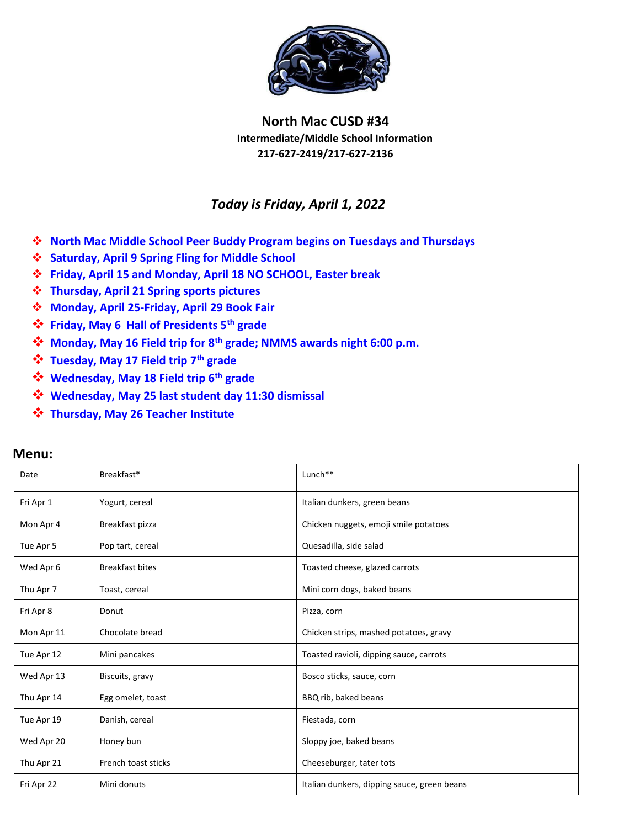

## **North Mac CUSD #34 Intermediate/Middle School Information 217-627-2419/217-627-2136**

## *Today is Friday, April 1, 2022*

- **North Mac Middle School Peer Buddy Program begins on Tuesdays and Thursdays**
- **Saturday, April 9 Spring Fling for Middle School**
- **Friday, April 15 and Monday, April 18 NO SCHOOL, Easter break**
- **Thursday, April 21 Spring sports pictures**
- **Monday, April 25-Friday, April 29 Book Fair**
- **Friday, May 6 Hall of Presidents 5th grade**
- **Monday, May 16 Field trip for 8th grade; NMMS awards night 6:00 p.m.**
- **Tuesday, May 17 Field trip 7th grade**
- **Wednesday, May 18 Field trip 6th grade**
- **Wednesday, May 25 last student day 11:30 dismissal**
- **Thursday, May 26 Teacher Institute**

| <b>Menu:</b> |
|--------------|
|--------------|

| Date       | Breakfast*             | Lunch**                                     |  |
|------------|------------------------|---------------------------------------------|--|
| Fri Apr 1  | Yogurt, cereal         | Italian dunkers, green beans                |  |
| Mon Apr 4  | Breakfast pizza        | Chicken nuggets, emoji smile potatoes       |  |
| Tue Apr 5  | Pop tart, cereal       | Quesadilla, side salad                      |  |
| Wed Apr 6  | <b>Breakfast bites</b> | Toasted cheese, glazed carrots              |  |
| Thu Apr 7  | Toast, cereal          | Mini corn dogs, baked beans                 |  |
| Fri Apr 8  | Donut                  | Pizza, corn                                 |  |
| Mon Apr 11 | Chocolate bread        | Chicken strips, mashed potatoes, gravy      |  |
| Tue Apr 12 | Mini pancakes          | Toasted ravioli, dipping sauce, carrots     |  |
| Wed Apr 13 | Biscuits, gravy        | Bosco sticks, sauce, corn                   |  |
| Thu Apr 14 | Egg omelet, toast      | BBQ rib, baked beans                        |  |
| Tue Apr 19 | Danish, cereal         | Fiestada, corn                              |  |
| Wed Apr 20 | Honey bun              | Sloppy joe, baked beans                     |  |
| Thu Apr 21 | French toast sticks    | Cheeseburger, tater tots                    |  |
| Fri Apr 22 | Mini donuts            | Italian dunkers, dipping sauce, green beans |  |